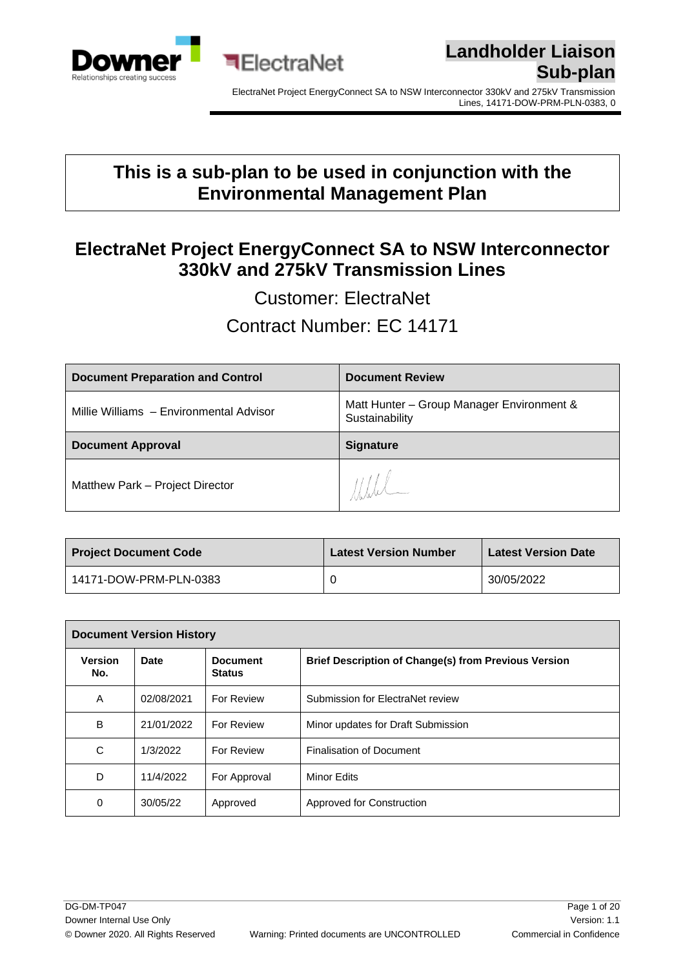



#### **This is a sub-plan to be used in conjunction with the Environmental Management Plan**

**ElectraNet** 

#### **ElectraNet Project EnergyConnect SA to NSW Interconnector 330kV and 275kV Transmission Lines**

Customer: ElectraNet

Contract Number: EC 14171

| <b>Document Preparation and Control</b> | <b>Document Review</b>                                      |
|-----------------------------------------|-------------------------------------------------------------|
| Millie Williams - Environmental Advisor | Matt Hunter - Group Manager Environment &<br>Sustainability |
| <b>Document Approval</b>                | <b>Signature</b>                                            |
|                                         |                                                             |

| <b>Project Document Code</b> | <b>Latest Version Number</b> | <b>Latest Version Date</b> |
|------------------------------|------------------------------|----------------------------|
| 14171-DOW-PRM-PLN-0383       |                              | 30/05/2022                 |

| <b>Document Version History</b> |            |                                  |                                                             |
|---------------------------------|------------|----------------------------------|-------------------------------------------------------------|
| <b>Version</b><br>No.           | Date       | <b>Document</b><br><b>Status</b> | <b>Brief Description of Change(s) from Previous Version</b> |
| A                               | 02/08/2021 | <b>For Review</b>                | Submission for ElectraNet review                            |
| B                               | 21/01/2022 | For Review                       | Minor updates for Draft Submission                          |
| C                               | 1/3/2022   | For Review                       | <b>Finalisation of Document</b>                             |
| D                               | 11/4/2022  | For Approval                     | Minor Edits                                                 |
| 0                               | 30/05/22   | Approved                         | Approved for Construction                                   |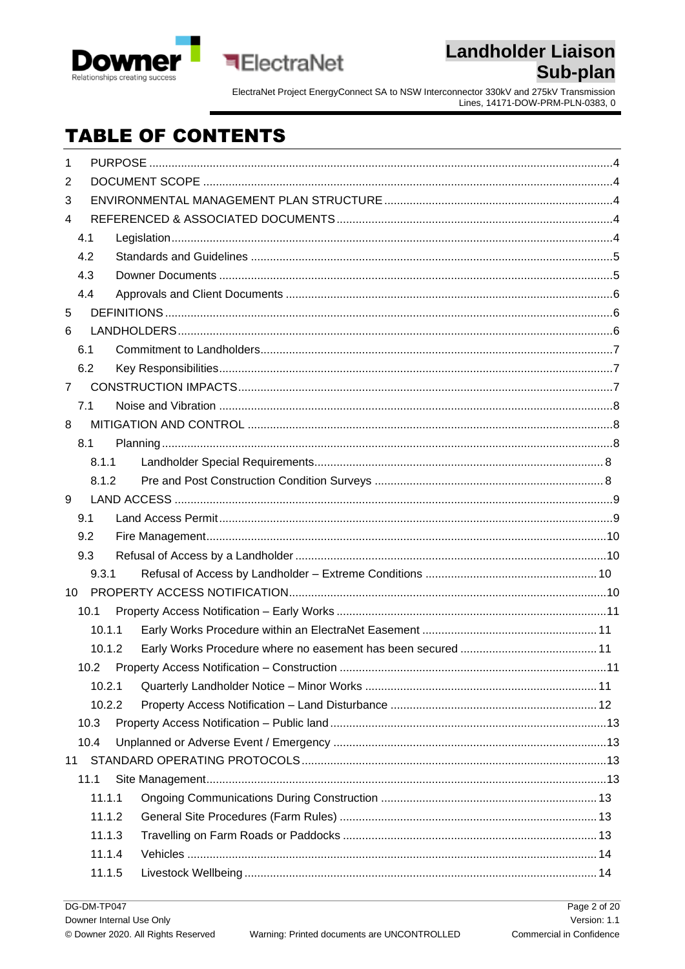



ElectraNet Project EnergyConnect SA to NSW Interconnector 330kV and 275kV Transmission<br>Lines, 14171-DOW-PRM-PLN-0383, 0

# **TABLE OF CONTENTS**

| $\mathbf{1}$    |        |  |  |
|-----------------|--------|--|--|
| 2               |        |  |  |
| 3               |        |  |  |
| 4               |        |  |  |
|                 | 4.1    |  |  |
|                 | 4.2    |  |  |
|                 | 4.3    |  |  |
|                 | 4.4    |  |  |
| 5               |        |  |  |
| 6               |        |  |  |
|                 | 6.1    |  |  |
|                 | 6.2    |  |  |
| $\overline{7}$  |        |  |  |
|                 | 7.1    |  |  |
| 8               |        |  |  |
|                 | 8.1    |  |  |
|                 | 8.1.1  |  |  |
|                 | 8.1.2  |  |  |
| 9               |        |  |  |
|                 | 9.1    |  |  |
|                 | 9.2    |  |  |
|                 | 9.3    |  |  |
|                 | 9.3.1  |  |  |
| 10 <sup>°</sup> |        |  |  |
|                 | 10.1   |  |  |
|                 | 10.1.1 |  |  |
|                 | 10.1.2 |  |  |
|                 |        |  |  |
|                 | 10.2.1 |  |  |
|                 | 10.2.2 |  |  |
|                 | 10.3   |  |  |
|                 | 10.4   |  |  |
|                 |        |  |  |
|                 | 11.1   |  |  |
|                 | 11.1.1 |  |  |
|                 | 11.1.2 |  |  |
|                 | 11.1.3 |  |  |
|                 | 11.1.4 |  |  |
|                 | 11.1.5 |  |  |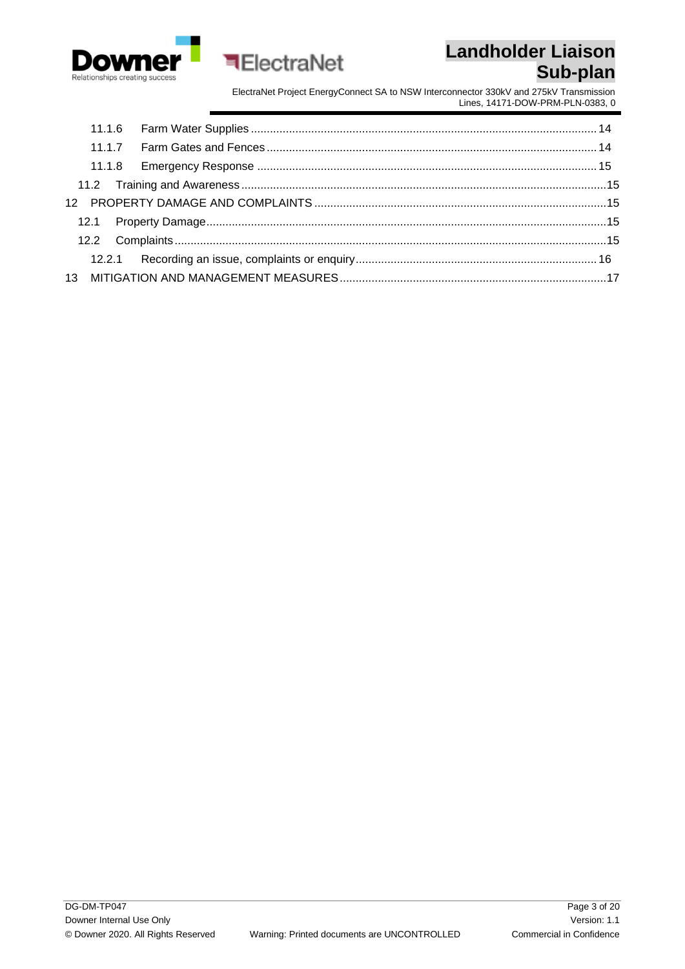



**ElectraNet**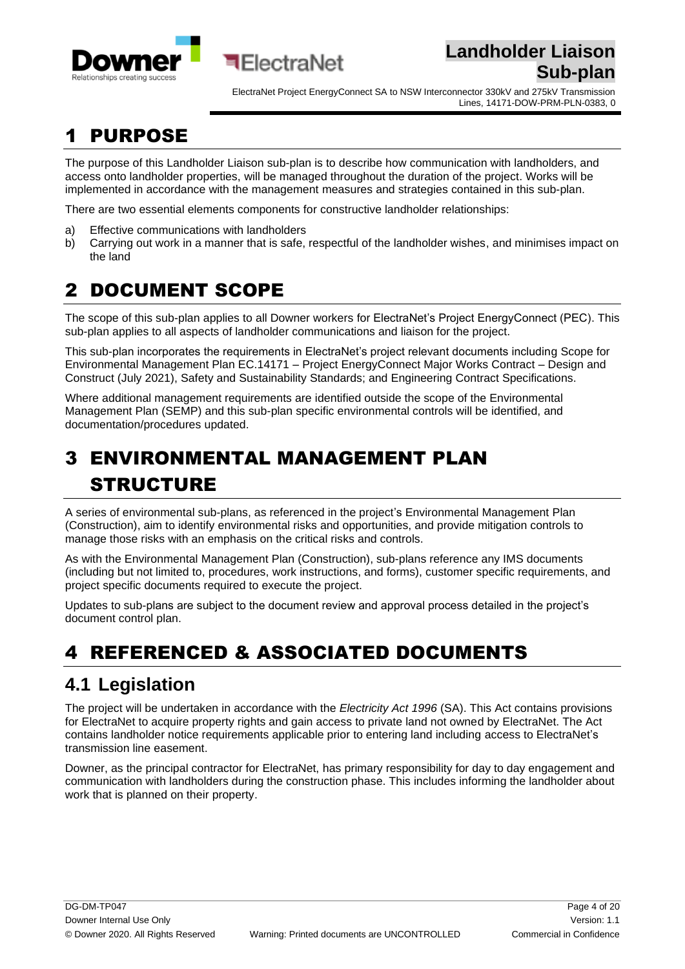

ElectraNet Project EnergyConnect SA to NSW Interconnector 330kV and 275kV Transmission Lines, 14171-DOW-PRM-PLN-0383, 0

# <span id="page-3-0"></span>**PURPOSE**

The purpose of this Landholder Liaison sub-plan is to describe how communication with landholders, and access onto landholder properties, will be managed throughout the duration of the project. Works will be implemented in accordance with the management measures and strategies contained in this sub-plan.

There are two essential elements components for constructive landholder relationships:

**बElectraNet** 

- a) Effective communications with landholders
- b) Carrying out work in a manner that is safe, respectful of the landholder wishes, and minimises impact on the land

## <span id="page-3-1"></span>2 DOCUMENT SCOPE

The scope of this sub-plan applies to all Downer workers for ElectraNet's Project EnergyConnect (PEC). This sub-plan applies to all aspects of landholder communications and liaison for the project.

This sub-plan incorporates the requirements in ElectraNet's project relevant documents including Scope for Environmental Management Plan EC.14171 – Project EnergyConnect Major Works Contract – Design and Construct (July 2021), Safety and Sustainability Standards; and Engineering Contract Specifications.

Where additional management requirements are identified outside the scope of the Environmental Management Plan (SEMP) and this sub-plan specific environmental controls will be identified, and documentation/procedures updated.

# <span id="page-3-2"></span>3 ENVIRONMENTAL MANAGEMENT PLAN STRUCTURE

A series of environmental sub-plans, as referenced in the project's Environmental Management Plan (Construction), aim to identify environmental risks and opportunities, and provide mitigation controls to manage those risks with an emphasis on the critical risks and controls.

As with the Environmental Management Plan (Construction), sub-plans reference any IMS documents (including but not limited to, procedures, work instructions, and forms), customer specific requirements, and project specific documents required to execute the project.

Updates to sub-plans are subject to the document review and approval process detailed in the project's document control plan.

# <span id="page-3-3"></span>4 REFERENCED & ASSOCIATED DOCUMENTS

### <span id="page-3-4"></span>**4.1 Legislation**

The project will be undertaken in accordance with the *Electricity Act 1996* (SA). This Act contains provisions for ElectraNet to acquire property rights and gain access to private land not owned by ElectraNet. The Act contains landholder notice requirements applicable prior to entering land including access to ElectraNet's transmission line easement.

Downer, as the principal contractor for ElectraNet, has primary responsibility for day to day engagement and communication with landholders during the construction phase. This includes informing the landholder about work that is planned on their property.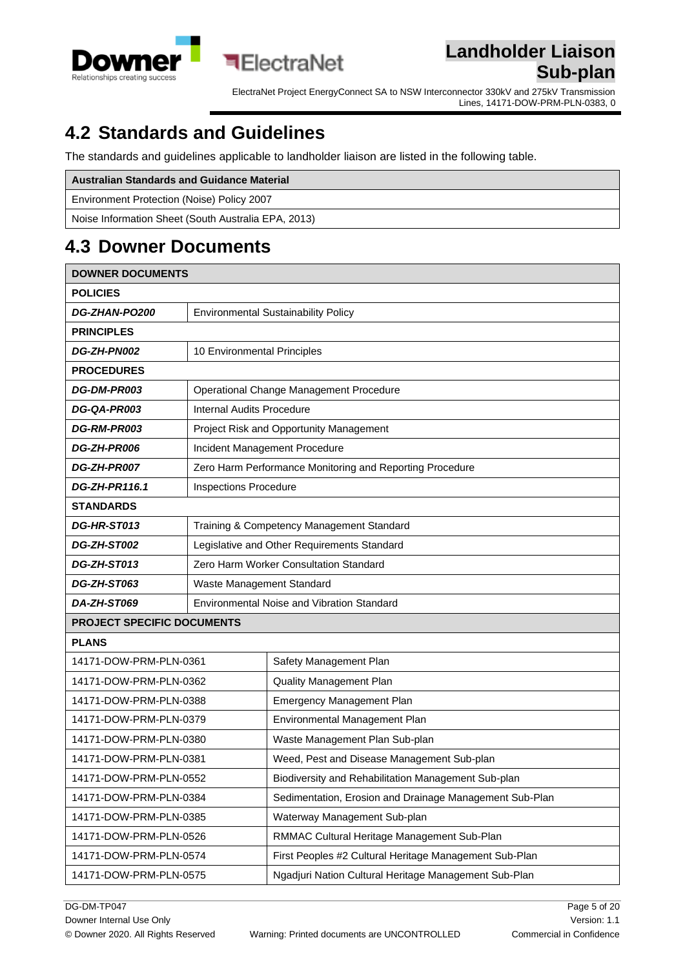

ElectraNet Project EnergyConnect SA to NSW Interconnector 330kV and 275kV Transmission Lines, 14171-DOW-PRM-PLN-0383, 0

## <span id="page-4-0"></span>**4.2 Standards and Guidelines**

The standards and guidelines applicable to landholder liaison are listed in the following table.

**ElectraNet** 

| <b>Australian Standards and Guidance Material</b>   |
|-----------------------------------------------------|
| Environment Protection (Noise) Policy 2007          |
| Noise Information Sheet (South Australia EPA, 2013) |

## <span id="page-4-1"></span>**4.3 Downer Documents**

| <b>DOWNER DOCUMENTS</b>           |                                            |                                                          |
|-----------------------------------|--------------------------------------------|----------------------------------------------------------|
| <b>POLICIES</b>                   |                                            |                                                          |
| DG-ZHAN-PO200                     | <b>Environmental Sustainability Policy</b> |                                                          |
| <b>PRINCIPLES</b>                 |                                            |                                                          |
| DG-ZH-PN002                       | 10 Environmental Principles                |                                                          |
| <b>PROCEDURES</b>                 |                                            |                                                          |
| DG-DM-PR003                       |                                            | Operational Change Management Procedure                  |
| DG-QA-PR003                       | <b>Internal Audits Procedure</b>           |                                                          |
| <b>DG-RM-PR003</b>                |                                            | Project Risk and Opportunity Management                  |
| DG-ZH-PR006                       |                                            | Incident Management Procedure                            |
| DG-ZH-PR007                       |                                            | Zero Harm Performance Monitoring and Reporting Procedure |
| <b>DG-ZH-PR116.1</b>              | Inspections Procedure                      |                                                          |
| <b>STANDARDS</b>                  |                                            |                                                          |
| DG-HR-ST013                       | Training & Competency Management Standard  |                                                          |
| DG-ZH-ST002                       |                                            | Legislative and Other Requirements Standard              |
| DG-ZH-ST013                       | Zero Harm Worker Consultation Standard     |                                                          |
| DG-ZH-ST063                       | Waste Management Standard                  |                                                          |
| DA-ZH-ST069                       | Environmental Noise and Vibration Standard |                                                          |
| <b>PROJECT SPECIFIC DOCUMENTS</b> |                                            |                                                          |
| <b>PLANS</b>                      |                                            |                                                          |
| 14171-DOW-PRM-PLN-0361            |                                            | Safety Management Plan                                   |
| 14171-DOW-PRM-PLN-0362            |                                            | <b>Quality Management Plan</b>                           |
| 14171-DOW-PRM-PLN-0388            |                                            | Emergency Management Plan                                |
| 14171-DOW-PRM-PLN-0379            |                                            | Environmental Management Plan                            |
| 14171-DOW-PRM-PLN-0380            |                                            | Waste Management Plan Sub-plan                           |
| 14171-DOW-PRM-PLN-0381            |                                            | Weed, Pest and Disease Management Sub-plan               |
| 14171-DOW-PRM-PLN-0552            |                                            | Biodiversity and Rehabilitation Management Sub-plan      |
| 14171-DOW-PRM-PLN-0384            |                                            | Sedimentation, Erosion and Drainage Management Sub-Plan  |
| 14171-DOW-PRM-PLN-0385            |                                            | Waterway Management Sub-plan                             |
| 14171-DOW-PRM-PLN-0526            |                                            | RMMAC Cultural Heritage Management Sub-Plan              |
| 14171-DOW-PRM-PLN-0574            |                                            | First Peoples #2 Cultural Heritage Management Sub-Plan   |
| 14171-DOW-PRM-PLN-0575            |                                            | Ngadjuri Nation Cultural Heritage Management Sub-Plan    |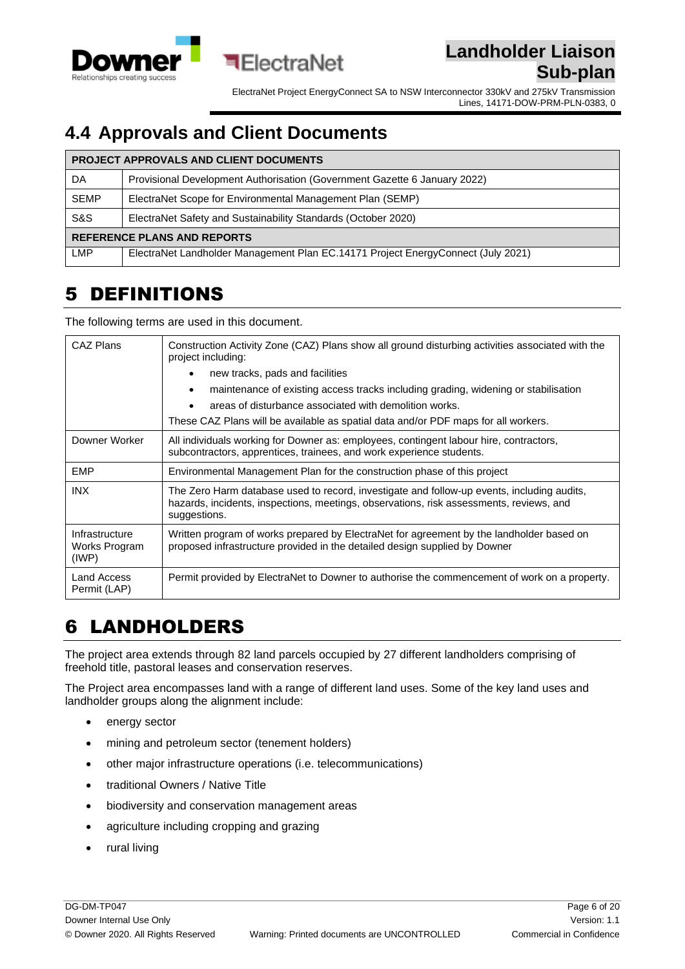

ElectraNet Project EnergyConnect SA to NSW Interconnector 330kV and 275kV Transmission Lines, 14171-DOW-PRM-PLN-0383, 0

### <span id="page-5-0"></span>**4.4 Approvals and Client Documents**

司ElectraNet

| <b>PROJECT APPROVALS AND CLIENT DOCUMENTS</b> |                                                                                  |  |
|-----------------------------------------------|----------------------------------------------------------------------------------|--|
| DA                                            | Provisional Development Authorisation (Government Gazette 6 January 2022)        |  |
| <b>SEMP</b>                                   | ElectraNet Scope for Environmental Management Plan (SEMP)                        |  |
| S&S                                           | ElectraNet Safety and Sustainability Standards (October 2020)                    |  |
| <b>REFERENCE PLANS AND REPORTS</b>            |                                                                                  |  |
| LMP                                           | ElectraNet Landholder Management Plan EC.14171 Project EnergyConnect (July 2021) |  |

## <span id="page-5-1"></span>5 DEFINITIONS

The following terms are used in this document.

| CAZ Plans                                      | Construction Activity Zone (CAZ) Plans show all ground disturbing activities associated with the<br>project including:<br>new tracks, pads and facilities                                                                          |  |  |
|------------------------------------------------|------------------------------------------------------------------------------------------------------------------------------------------------------------------------------------------------------------------------------------|--|--|
|                                                | maintenance of existing access tracks including grading, widening or stabilisation<br>areas of disturbance associated with demolition works.<br>These CAZ Plans will be available as spatial data and/or PDF maps for all workers. |  |  |
| Downer Worker                                  | All individuals working for Downer as: employees, contingent labour hire, contractors,<br>subcontractors, apprentices, trainees, and work experience students.                                                                     |  |  |
| <b>EMP</b>                                     | Environmental Management Plan for the construction phase of this project                                                                                                                                                           |  |  |
| <b>INX</b>                                     | The Zero Harm database used to record, investigate and follow-up events, including audits,<br>hazards, incidents, inspections, meetings, observations, risk assessments, reviews, and<br>suggestions.                              |  |  |
| Infrastructure<br>Works Program<br>$($ IWP $)$ | Written program of works prepared by ElectraNet for agreement by the landholder based on<br>proposed infrastructure provided in the detailed design supplied by Downer                                                             |  |  |
| Land Access<br>Permit (LAP)                    | Permit provided by ElectraNet to Downer to authorise the commencement of work on a property.                                                                                                                                       |  |  |

## <span id="page-5-2"></span>6 LANDHOLDERS

The project area extends through 82 land parcels occupied by 27 different landholders comprising of freehold title, pastoral leases and conservation reserves.

The Project area encompasses land with a range of different land uses. Some of the key land uses and landholder groups along the alignment include:

- energy sector
- mining and petroleum sector (tenement holders)
- other major infrastructure operations (i.e. telecommunications)
- traditional Owners / Native Title
- biodiversity and conservation management areas
- agriculture including cropping and grazing
- rural living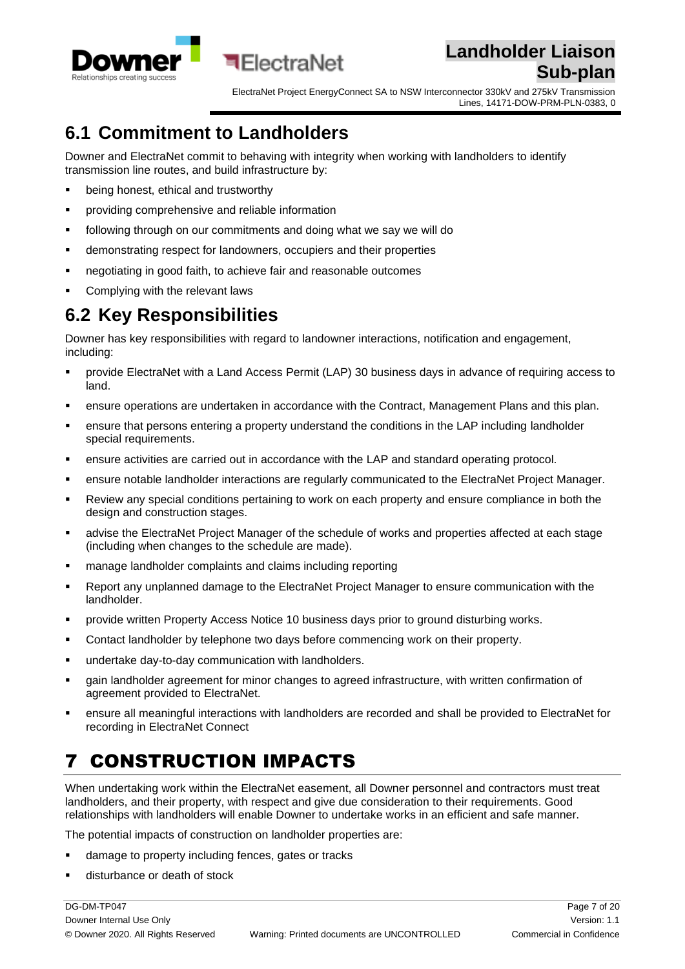

ElectraNet Project EnergyConnect SA to NSW Interconnector 330kV and 275kV Transmission Lines, 14171-DOW-PRM-PLN-0383, 0

## <span id="page-6-0"></span>**6.1 Commitment to Landholders**

Downer and ElectraNet commit to behaving with integrity when working with landholders to identify transmission line routes, and build infrastructure by:

**बElectraNet** 

- being honest, ethical and trustworthy
- providing comprehensive and reliable information
- following through on our commitments and doing what we say we will do
- demonstrating respect for landowners, occupiers and their properties
- negotiating in good faith, to achieve fair and reasonable outcomes
- Complying with the relevant laws

### <span id="page-6-1"></span>**6.2 Key Responsibilities**

Downer has key responsibilities with regard to landowner interactions, notification and engagement, including:

- provide ElectraNet with a Land Access Permit (LAP) 30 business days in advance of requiring access to land.
- ensure operations are undertaken in accordance with the Contract, Management Plans and this plan.
- **•** ensure that persons entering a property understand the conditions in the LAP including landholder special requirements.
- ensure activities are carried out in accordance with the LAP and standard operating protocol.
- ensure notable landholder interactions are regularly communicated to the ElectraNet Project Manager.
- Review any special conditions pertaining to work on each property and ensure compliance in both the design and construction stages.
- advise the ElectraNet Project Manager of the schedule of works and properties affected at each stage (including when changes to the schedule are made).
- manage landholder complaints and claims including reporting
- Report any unplanned damage to the ElectraNet Project Manager to ensure communication with the landholder.
- provide written Property Access Notice 10 business days prior to ground disturbing works.
- Contact landholder by telephone two days before commencing work on their property.
- undertake day-to-day communication with landholders.
- **•** gain landholder agreement for minor changes to agreed infrastructure, with written confirmation of agreement provided to ElectraNet.
- ensure all meaningful interactions with landholders are recorded and shall be provided to ElectraNet for recording in ElectraNet Connect

# <span id="page-6-2"></span>7 CONSTRUCTION IMPACTS

When undertaking work within the ElectraNet easement, all Downer personnel and contractors must treat landholders, and their property, with respect and give due consideration to their requirements. Good relationships with landholders will enable Downer to undertake works in an efficient and safe manner.

The potential impacts of construction on landholder properties are:

- damage to property including fences, gates or tracks
- disturbance or death of stock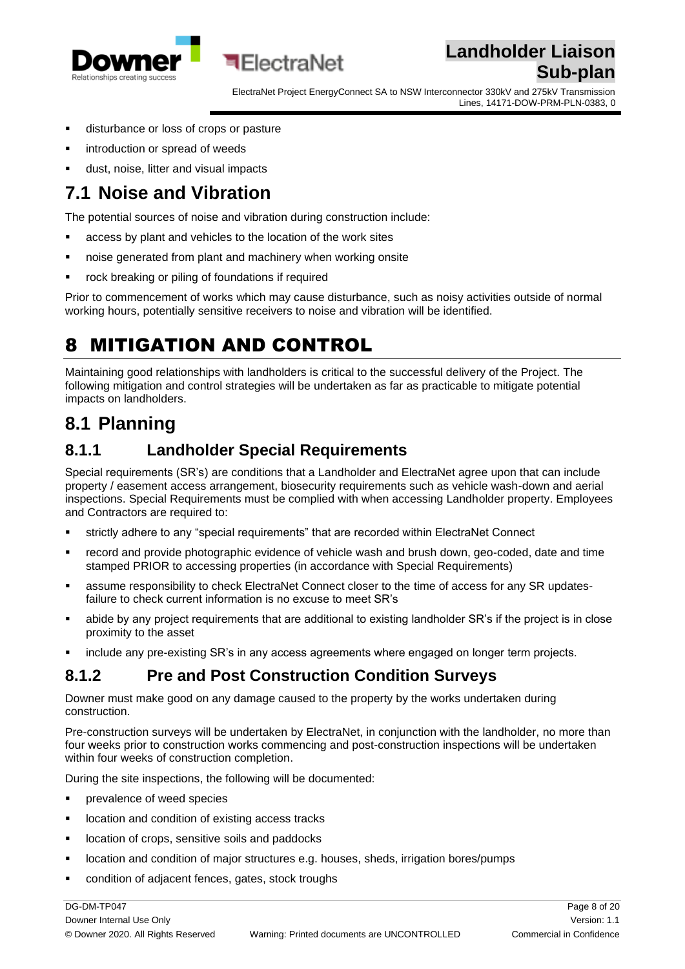



- disturbance or loss of crops or pasture
- introduction or spread of weeds
- dust, noise, litter and visual impacts

### <span id="page-7-0"></span>**7.1 Noise and Vibration**

The potential sources of noise and vibration during construction include:

**■FlectraNet** 

- access by plant and vehicles to the location of the work sites
- noise generated from plant and machinery when working onsite
- rock breaking or piling of foundations if required

Prior to commencement of works which may cause disturbance, such as noisy activities outside of normal working hours, potentially sensitive receivers to noise and vibration will be identified.

## <span id="page-7-1"></span>8 MITIGATION AND CONTROL

Maintaining good relationships with landholders is critical to the successful delivery of the Project. The following mitigation and control strategies will be undertaken as far as practicable to mitigate potential impacts on landholders.

### <span id="page-7-2"></span>**8.1 Planning**

#### <span id="page-7-3"></span>**8.1.1 Landholder Special Requirements**

Special requirements (SR's) are conditions that a Landholder and ElectraNet agree upon that can include property / easement access arrangement, biosecurity requirements such as vehicle wash-down and aerial inspections. Special Requirements must be complied with when accessing Landholder property. Employees and Contractors are required to:

- strictly adhere to any "special requirements" that are recorded within ElectraNet Connect
- record and provide photographic evidence of vehicle wash and brush down, geo-coded, date and time stamped PRIOR to accessing properties (in accordance with Special Requirements)
- assume responsibility to check ElectraNet Connect closer to the time of access for any SR updatesfailure to check current information is no excuse to meet SR's
- abide by any project requirements that are additional to existing landholder SR's if the project is in close proximity to the asset
- include any pre-existing SR's in any access agreements where engaged on longer term projects.

#### <span id="page-7-4"></span>**8.1.2 Pre and Post Construction Condition Surveys**

Downer must make good on any damage caused to the property by the works undertaken during construction.

Pre-construction surveys will be undertaken by ElectraNet, in conjunction with the landholder, no more than four weeks prior to construction works commencing and post-construction inspections will be undertaken within four weeks of construction completion.

During the site inspections, the following will be documented:

- prevalence of weed species
- location and condition of existing access tracks
- location of crops, sensitive soils and paddocks
- location and condition of major structures e.g. houses, sheds, irrigation bores/pumps
- condition of adjacent fences, gates, stock troughs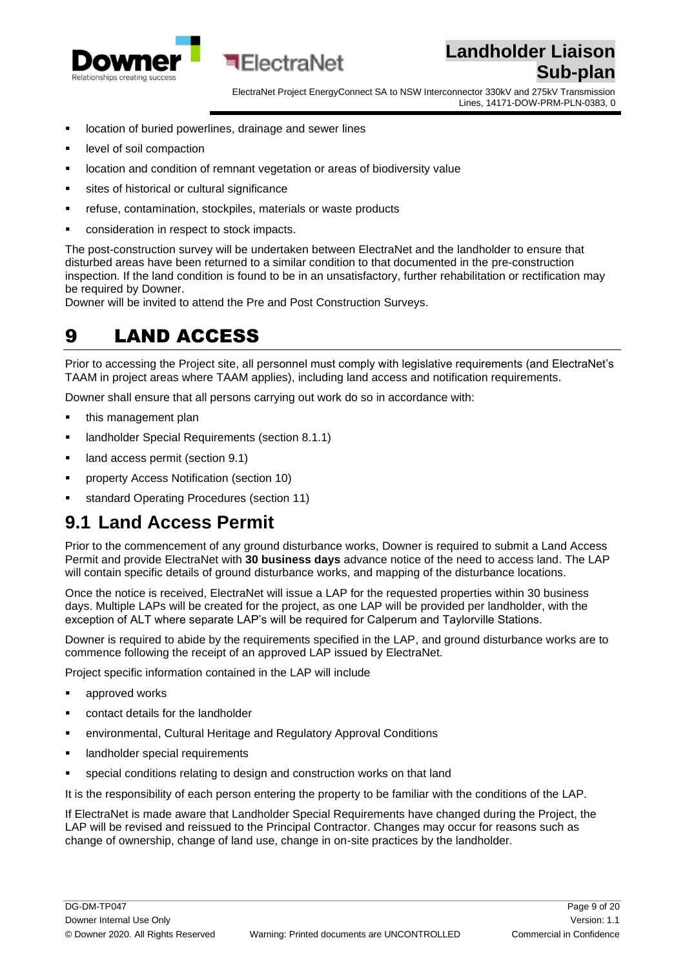

ElectraNet Project EnergyConnect SA to NSW Interconnector 330kV and 275kV Transmission Lines, 14171-DOW-PRM-PLN-0383, 0

- location of buried powerlines, drainage and sewer lines
- level of soil compaction
- location and condition of remnant vegetation or areas of biodiversity value

**■FlectraNet** 

- sites of historical or cultural significance
- refuse, contamination, stockpiles, materials or waste products
- consideration in respect to stock impacts.

The post-construction survey will be undertaken between ElectraNet and the landholder to ensure that disturbed areas have been returned to a similar condition to that documented in the pre-construction inspection. If the land condition is found to be in an unsatisfactory, further rehabilitation or rectification may be required by Downer.

<span id="page-8-0"></span>Downer will be invited to attend the Pre and Post Construction Surveys.

### 9 LAND ACCESS

Prior to accessing the Project site, all personnel must comply with legislative requirements (and ElectraNet's TAAM in project areas where TAAM applies), including land access and notification requirements.

Downer shall ensure that all persons carrying out work do so in accordance with:

- this management plan
- **E** landholder Special Requirements (section 8.1.1)
- land access permit (section 9.1)
- property Access Notification (section 10)
- standard Operating Procedures (section 11)

#### <span id="page-8-1"></span>**9.1 Land Access Permit**

Prior to the commencement of any ground disturbance works, Downer is required to submit a Land Access Permit and provide ElectraNet with **30 business days** advance notice of the need to access land. The LAP will contain specific details of ground disturbance works, and mapping of the disturbance locations.

Once the notice is received, ElectraNet will issue a LAP for the requested properties within 30 business days. Multiple LAPs will be created for the project, as one LAP will be provided per landholder, with the exception of ALT where separate LAP's will be required for Calperum and Taylorville Stations.

Downer is required to abide by the requirements specified in the LAP, and ground disturbance works are to commence following the receipt of an approved LAP issued by ElectraNet.

Project specific information contained in the LAP will include

- approved works
- contact details for the landholder
- environmental, Cultural Heritage and Regulatory Approval Conditions
- landholder special requirements
- special conditions relating to design and construction works on that land

It is the responsibility of each person entering the property to be familiar with the conditions of the LAP.

If ElectraNet is made aware that Landholder Special Requirements have changed during the Project, the LAP will be revised and reissued to the Principal Contractor. Changes may occur for reasons such as change of ownership, change of land use, change in on-site practices by the landholder.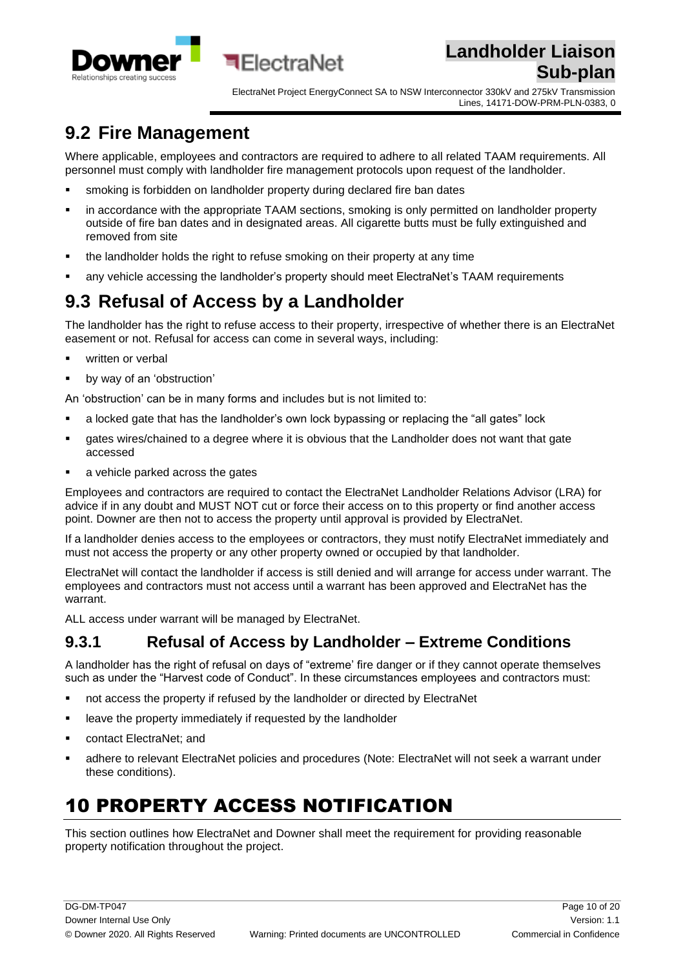



### <span id="page-9-0"></span>**9.2 Fire Management**

Where applicable, employees and contractors are required to adhere to all related TAAM requirements. All personnel must comply with landholder fire management protocols upon request of the landholder.

**•** smoking is forbidden on landholder property during declared fire ban dates

**बElectraNet** 

- in accordance with the appropriate TAAM sections, smoking is only permitted on landholder property outside of fire ban dates and in designated areas. All cigarette butts must be fully extinguished and removed from site
- the landholder holds the right to refuse smoking on their property at any time
- any vehicle accessing the landholder's property should meet ElectraNet's TAAM requirements

### <span id="page-9-1"></span>**9.3 Refusal of Access by a Landholder**

The landholder has the right to refuse access to their property, irrespective of whether there is an ElectraNet easement or not. Refusal for access can come in several ways, including:

- **·** written or verbal
- by way of an 'obstruction'

An 'obstruction' can be in many forms and includes but is not limited to:

- a locked gate that has the landholder's own lock bypassing or replacing the "all gates" lock
- gates wires/chained to a degree where it is obvious that the Landholder does not want that gate accessed
- a vehicle parked across the gates

Employees and contractors are required to contact the ElectraNet Landholder Relations Advisor (LRA) for advice if in any doubt and MUST NOT cut or force their access on to this property or find another access point. Downer are then not to access the property until approval is provided by ElectraNet.

If a landholder denies access to the employees or contractors, they must notify ElectraNet immediately and must not access the property or any other property owned or occupied by that landholder.

ElectraNet will contact the landholder if access is still denied and will arrange for access under warrant. The employees and contractors must not access until a warrant has been approved and ElectraNet has the warrant.

ALL access under warrant will be managed by ElectraNet.

#### <span id="page-9-2"></span>**9.3.1 Refusal of Access by Landholder – Extreme Conditions**

A landholder has the right of refusal on days of "extreme' fire danger or if they cannot operate themselves such as under the "Harvest code of Conduct". In these circumstances employees and contractors must:

- not access the property if refused by the landholder or directed by ElectraNet
- **EXEDENT** leave the property immediately if requested by the landholder
- contact ElectraNet; and
- adhere to relevant ElectraNet policies and procedures (Note: ElectraNet will not seek a warrant under these conditions).

## <span id="page-9-3"></span>10 PROPERTY ACCESS NOTIFICATION

This section outlines how ElectraNet and Downer shall meet the requirement for providing reasonable property notification throughout the project.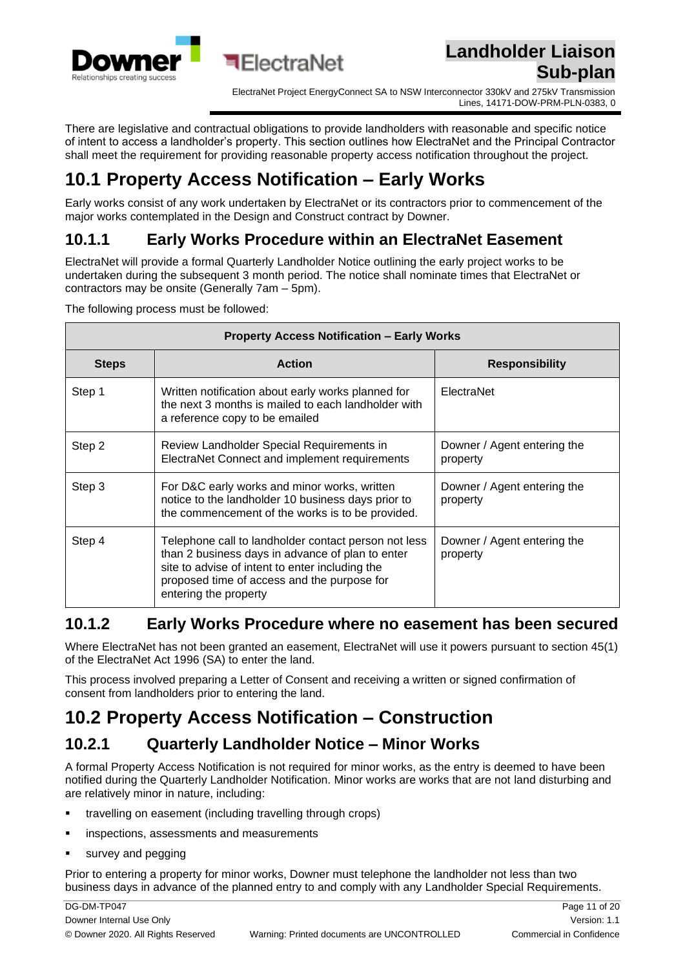

ElectraNet Project EnergyConnect SA to NSW Interconnector 330kV and 275kV Transmission Lines, 14171-DOW-PRM-PLN-0383, 0

There are legislative and contractual obligations to provide landholders with reasonable and specific notice of intent to access a landholder's property. This section outlines how ElectraNet and the Principal Contractor shall meet the requirement for providing reasonable property access notification throughout the project.

## <span id="page-10-0"></span>**10.1 Property Access Notification – Early Works**

Early works consist of any work undertaken by ElectraNet or its contractors prior to commencement of the major works contemplated in the Design and Construct contract by Downer.

#### <span id="page-10-1"></span>**10.1.1 Early Works Procedure within an ElectraNet Easement**

ElectraNet will provide a formal Quarterly Landholder Notice outlining the early project works to be undertaken during the subsequent 3 month period. The notice shall nominate times that ElectraNet or contractors may be onsite (Generally 7am – 5pm).

The following process must be followed:

| <b>Property Access Notification - Early Works</b> |                                                                                                                                                                                                                                     |                                         |  |
|---------------------------------------------------|-------------------------------------------------------------------------------------------------------------------------------------------------------------------------------------------------------------------------------------|-----------------------------------------|--|
| <b>Steps</b>                                      | <b>Action</b>                                                                                                                                                                                                                       | <b>Responsibility</b>                   |  |
| Step 1                                            | Written notification about early works planned for<br>the next 3 months is mailed to each landholder with<br>a reference copy to be emailed                                                                                         | ElectraNet                              |  |
| Step 2                                            | Review Landholder Special Requirements in<br>ElectraNet Connect and implement requirements                                                                                                                                          | Downer / Agent entering the<br>property |  |
| Step 3                                            | For D&C early works and minor works, written<br>notice to the landholder 10 business days prior to<br>the commencement of the works is to be provided.                                                                              | Downer / Agent entering the<br>property |  |
| Step 4                                            | Telephone call to landholder contact person not less<br>than 2 business days in advance of plan to enter<br>site to advise of intent to enter including the<br>proposed time of access and the purpose for<br>entering the property | Downer / Agent entering the<br>property |  |

#### <span id="page-10-2"></span>**10.1.2 Early Works Procedure where no easement has been secured**

Where ElectraNet has not been granted an easement, ElectraNet will use it powers pursuant to section 45(1) of the ElectraNet Act 1996 (SA) to enter the land.

This process involved preparing a Letter of Consent and receiving a written or signed confirmation of consent from landholders prior to entering the land.

## <span id="page-10-3"></span>**10.2 Property Access Notification – Construction**

#### <span id="page-10-4"></span>**10.2.1 Quarterly Landholder Notice – Minor Works**

A formal Property Access Notification is not required for minor works, as the entry is deemed to have been notified during the Quarterly Landholder Notification. Minor works are works that are not land disturbing and are relatively minor in nature, including:

- travelling on easement (including travelling through crops)
- inspections, assessments and measurements
- survey and pegging

Prior to entering a property for minor works, Downer must telephone the landholder not less than two business days in advance of the planned entry to and comply with any Landholder Special Requirements.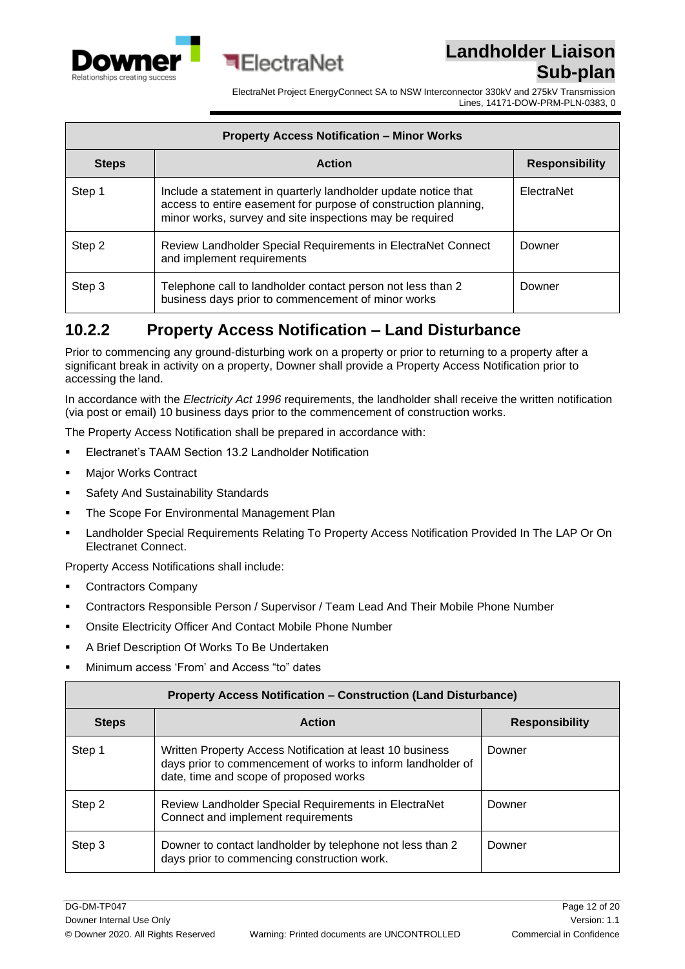



ElectraNet Project EnergyConnect SA to NSW Interconnector 330kV and 275kV Transmission Lines, 14171-DOW-PRM-PLN-0383, 0

| <b>Property Access Notification - Minor Works</b> |                                                                                                                                                                                               |                       |  |
|---------------------------------------------------|-----------------------------------------------------------------------------------------------------------------------------------------------------------------------------------------------|-----------------------|--|
| <b>Steps</b>                                      | <b>Action</b>                                                                                                                                                                                 | <b>Responsibility</b> |  |
| Step 1                                            | Include a statement in quarterly landholder update notice that<br>access to entire easement for purpose of construction planning,<br>minor works, survey and site inspections may be required | ElectraNet            |  |
| Step 2                                            | Review Landholder Special Requirements in ElectraNet Connect<br>and implement requirements                                                                                                    | Downer                |  |
| Step 3                                            | Telephone call to landholder contact person not less than 2<br>business days prior to commencement of minor works                                                                             | Downer                |  |

#### <span id="page-11-0"></span>**10.2.2 Property Access Notification – Land Disturbance**

Prior to commencing any ground-disturbing work on a property or prior to returning to a property after a significant break in activity on a property, Downer shall provide a Property Access Notification prior to accessing the land.

In accordance with the *Electricity Act 1996* requirements, the landholder shall receive the written notification (via post or email) 10 business days prior to the commencement of construction works.

The Property Access Notification shall be prepared in accordance with:

- Electranet's TAAM Section 13.2 Landholder Notification
- Major Works Contract
- Safety And Sustainability Standards
- The Scope For Environmental Management Plan
- Landholder Special Requirements Relating To Property Access Notification Provided In The LAP Or On Electranet Connect.

Property Access Notifications shall include:

- Contractors Company
- Contractors Responsible Person / Supervisor / Team Lead And Their Mobile Phone Number
- Onsite Electricity Officer And Contact Mobile Phone Number
- A Brief Description Of Works To Be Undertaken
- Minimum access 'From' and Access "to" dates

| <b>Property Access Notification - Construction (Land Disturbance)</b> |                                                                                                                                                                    |                       |  |
|-----------------------------------------------------------------------|--------------------------------------------------------------------------------------------------------------------------------------------------------------------|-----------------------|--|
| <b>Steps</b>                                                          | <b>Action</b>                                                                                                                                                      | <b>Responsibility</b> |  |
| Step 1                                                                | Written Property Access Notification at least 10 business<br>days prior to commencement of works to inform landholder of<br>date, time and scope of proposed works | Downer                |  |
| Step 2                                                                | Review Landholder Special Requirements in ElectraNet<br>Connect and implement requirements                                                                         | Downer                |  |
| Step 3                                                                | Downer to contact landholder by telephone not less than 2<br>days prior to commencing construction work.                                                           | Downer                |  |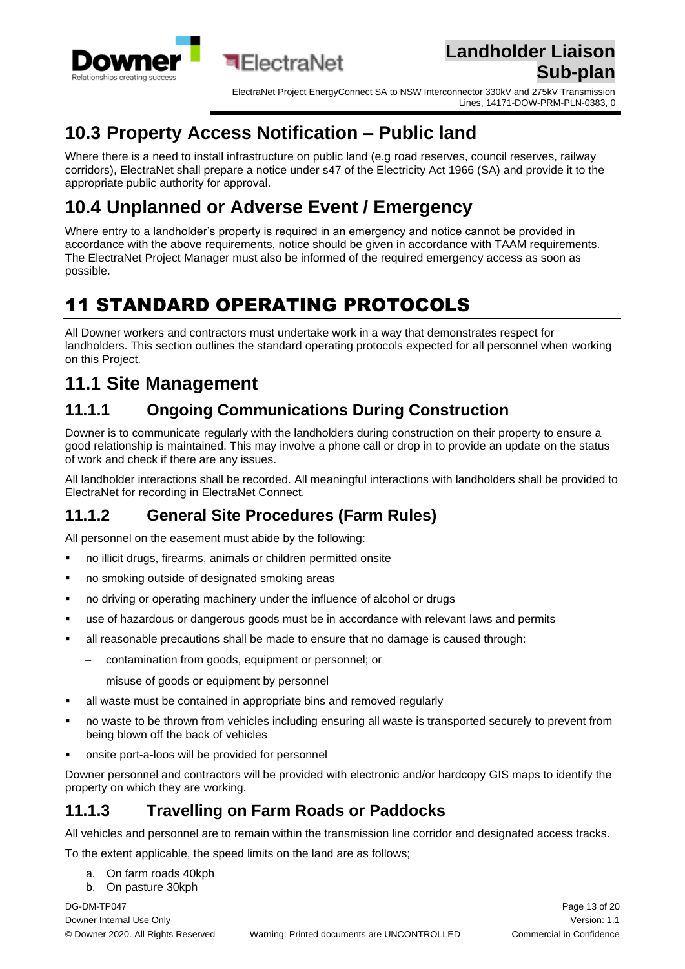

ElectraNet Project EnergyConnect SA to NSW Interconnector 330kV and 275kV Transmission Lines, 14171-DOW-PRM-PLN-0383, 0

## <span id="page-12-0"></span>**10.3 Property Access Notification – Public land**

Where there is a need to install infrastructure on public land (e.g road reserves, council reserves, railway corridors), ElectraNet shall prepare a notice under s47 of the Electricity Act 1966 (SA) and provide it to the appropriate public authority for approval.

## <span id="page-12-1"></span>**10.4 Unplanned or Adverse Event / Emergency**

Where entry to a landholder's property is required in an emergency and notice cannot be provided in accordance with the above requirements, notice should be given in accordance with TAAM requirements. The ElectraNet Project Manager must also be informed of the required emergency access as soon as possible.

# <span id="page-12-2"></span>11 STANDARD OPERATING PROTOCOLS

All Downer workers and contractors must undertake work in a way that demonstrates respect for landholders. This section outlines the standard operating protocols expected for all personnel when working on this Project.

## <span id="page-12-3"></span>**11.1 Site Management**

### <span id="page-12-4"></span>**11.1.1 Ongoing Communications During Construction**

Downer is to communicate regularly with the landholders during construction on their property to ensure a good relationship is maintained. This may involve a phone call or drop in to provide an update on the status of work and check if there are any issues.

All landholder interactions shall be recorded. All meaningful interactions with landholders shall be provided to ElectraNet for recording in ElectraNet Connect.

#### <span id="page-12-5"></span>**11.1.2 General Site Procedures (Farm Rules)**

All personnel on the easement must abide by the following:

- no illicit drugs, firearms, animals or children permitted onsite
- no smoking outside of designated smoking areas
- no driving or operating machinery under the influence of alcohol or drugs
- **•** use of hazardous or dangerous goods must be in accordance with relevant laws and permits
- **E** all reasonable precautions shall be made to ensure that no damage is caused through:
	- − contamination from goods, equipment or personnel; or
	- − misuse of goods or equipment by personnel
- all waste must be contained in appropriate bins and removed regularly
- no waste to be thrown from vehicles including ensuring all waste is transported securely to prevent from being blown off the back of vehicles
- onsite port-a-loos will be provided for personnel

Downer personnel and contractors will be provided with electronic and/or hardcopy GIS maps to identify the property on which they are working.

#### <span id="page-12-6"></span>**11.1.3 Travelling on Farm Roads or Paddocks**

All vehicles and personnel are to remain within the transmission line corridor and designated access tracks.

To the extent applicable, the speed limits on the land are as follows;

- a. On farm roads 40kph
- b. On pasture 30kph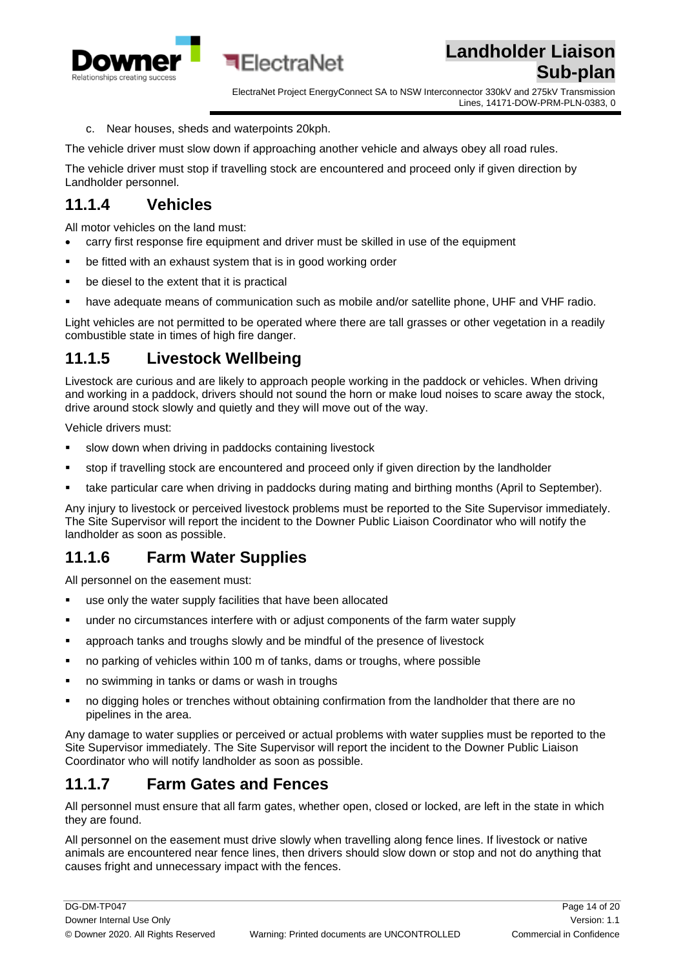

ElectraNet Project EnergyConnect SA to NSW Interconnector 330kV and 275kV Transmission Lines, 14171-DOW-PRM-PLN-0383, 0

c. Near houses, sheds and waterpoints 20kph.

The vehicle driver must slow down if approaching another vehicle and always obey all road rules.

The vehicle driver must stop if travelling stock are encountered and proceed only if given direction by Landholder personnel.

#### <span id="page-13-0"></span>**11.1.4 Vehicles**

All motor vehicles on the land must:

• carry first response fire equipment and driver must be skilled in use of the equipment

**बElectraNet** 

- be fitted with an exhaust system that is in good working order
- be diesel to the extent that it is practical
- have adequate means of communication such as mobile and/or satellite phone, UHF and VHF radio.

Light vehicles are not permitted to be operated where there are tall grasses or other vegetation in a readily combustible state in times of high fire danger.

#### <span id="page-13-1"></span>**11.1.5 Livestock Wellbeing**

Livestock are curious and are likely to approach people working in the paddock or vehicles. When driving and working in a paddock, drivers should not sound the horn or make loud noises to scare away the stock, drive around stock slowly and quietly and they will move out of the way.

Vehicle drivers must:

- **EXECT** slow down when driving in paddocks containing livestock
- stop if travelling stock are encountered and proceed only if given direction by the landholder
- take particular care when driving in paddocks during mating and birthing months (April to September).

Any injury to livestock or perceived livestock problems must be reported to the Site Supervisor immediately. The Site Supervisor will report the incident to the Downer Public Liaison Coordinator who will notify the landholder as soon as possible.

#### <span id="page-13-2"></span>**11.1.6 Farm Water Supplies**

All personnel on the easement must:

- use only the water supply facilities that have been allocated
- under no circumstances interfere with or adjust components of the farm water supply
- approach tanks and troughs slowly and be mindful of the presence of livestock
- no parking of vehicles within 100 m of tanks, dams or troughs, where possible
- no swimming in tanks or dams or wash in troughs
- no digging holes or trenches without obtaining confirmation from the landholder that there are no pipelines in the area.

Any damage to water supplies or perceived or actual problems with water supplies must be reported to the Site Supervisor immediately. The Site Supervisor will report the incident to the Downer Public Liaison Coordinator who will notify landholder as soon as possible.

#### <span id="page-13-3"></span>**11.1.7 Farm Gates and Fences**

All personnel must ensure that all farm gates, whether open, closed or locked, are left in the state in which they are found.

All personnel on the easement must drive slowly when travelling along fence lines. If livestock or native animals are encountered near fence lines, then drivers should slow down or stop and not do anything that causes fright and unnecessary impact with the fences.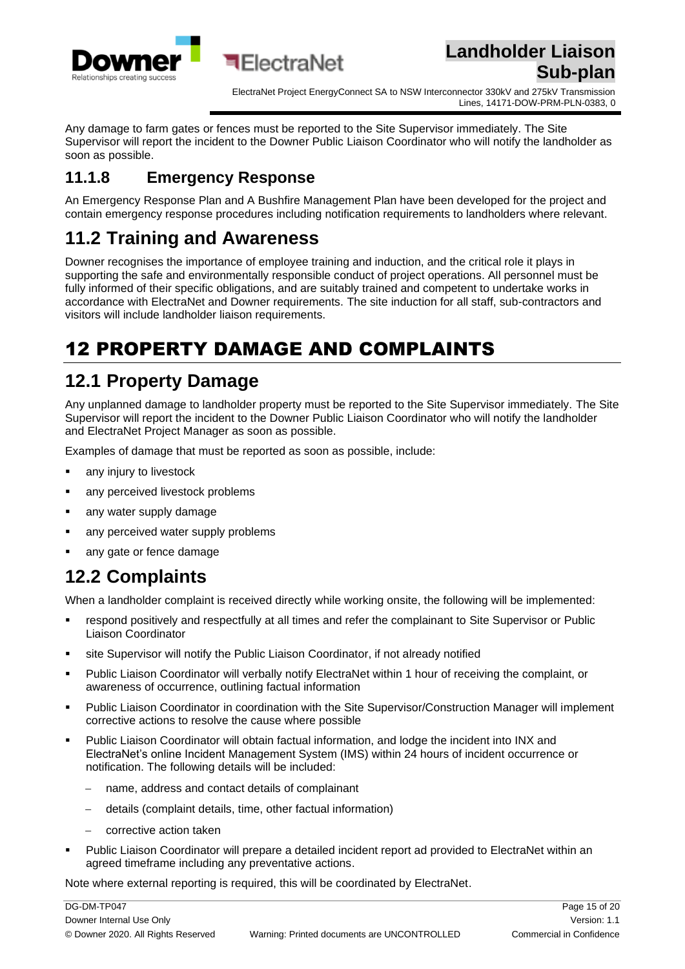

ElectraNet Project EnergyConnect SA to NSW Interconnector 330kV and 275kV Transmission Lines, 14171-DOW-PRM-PLN-0383, 0

Any damage to farm gates or fences must be reported to the Site Supervisor immediately. The Site Supervisor will report the incident to the Downer Public Liaison Coordinator who will notify the landholder as soon as possible.

#### <span id="page-14-0"></span>**11.1.8 Emergency Response**

An Emergency Response Plan and A Bushfire Management Plan have been developed for the project and contain emergency response procedures including notification requirements to landholders where relevant.

## <span id="page-14-1"></span>**11.2 Training and Awareness**

Downer recognises the importance of employee training and induction, and the critical role it plays in supporting the safe and environmentally responsible conduct of project operations. All personnel must be fully informed of their specific obligations, and are suitably trained and competent to undertake works in accordance with ElectraNet and Downer requirements. The site induction for all staff, sub-contractors and visitors will include landholder liaison requirements.

# <span id="page-14-2"></span>12 PROPERTY DAMAGE AND COMPLAINTS

## <span id="page-14-3"></span>**12.1 Property Damage**

Any unplanned damage to landholder property must be reported to the Site Supervisor immediately. The Site Supervisor will report the incident to the Downer Public Liaison Coordinator who will notify the landholder and ElectraNet Project Manager as soon as possible.

Examples of damage that must be reported as soon as possible, include:

- any injury to livestock
- any perceived livestock problems
- any water supply damage
- **·** any perceived water supply problems
- any gate or fence damage

# <span id="page-14-4"></span>**12.2 Complaints**

When a landholder complaint is received directly while working onsite, the following will be implemented:

- respond positively and respectfully at all times and refer the complainant to Site Supervisor or Public Liaison Coordinator
- site Supervisor will notify the Public Liaison Coordinator, if not already notified
- Public Liaison Coordinator will verbally notify ElectraNet within 1 hour of receiving the complaint, or awareness of occurrence, outlining factual information
- Public Liaison Coordinator in coordination with the Site Supervisor/Construction Manager will implement corrective actions to resolve the cause where possible
- Public Liaison Coordinator will obtain factual information, and lodge the incident into INX and ElectraNet's online Incident Management System (IMS) within 24 hours of incident occurrence or notification. The following details will be included:
	- − name, address and contact details of complainant
	- − details (complaint details, time, other factual information)
	- corrective action taken
- Public Liaison Coordinator will prepare a detailed incident report ad provided to ElectraNet within an agreed timeframe including any preventative actions.

Note where external reporting is required, this will be coordinated by ElectraNet.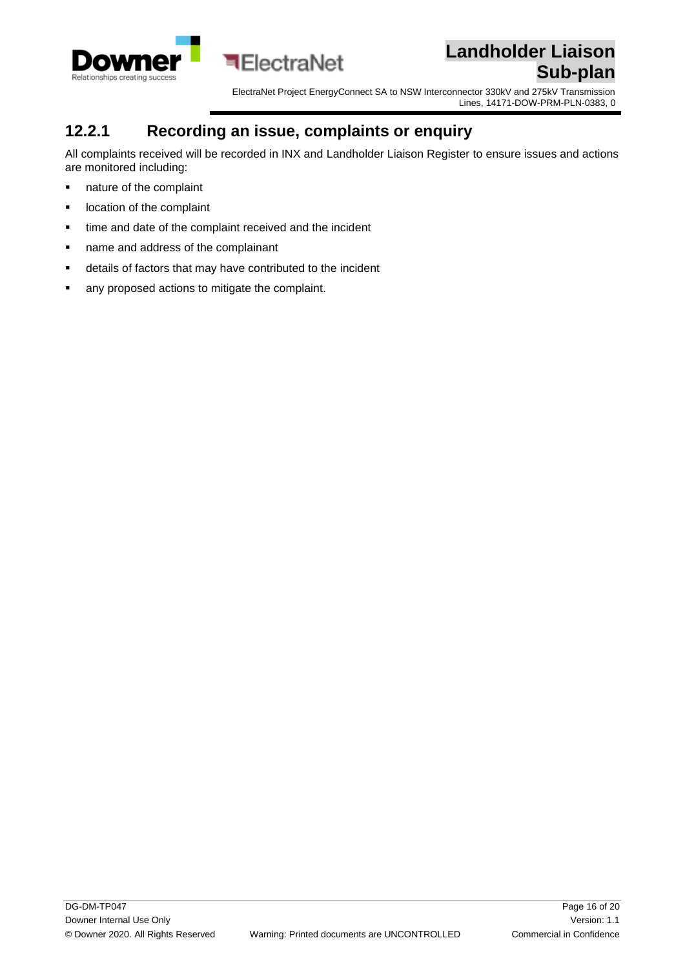

ElectraNet Project EnergyConnect SA to NSW Interconnector 330kV and 275kV Transmission Lines, 14171-DOW-PRM-PLN-0383, 0

#### <span id="page-15-0"></span>**12.2.1 Recording an issue, complaints or enquiry**

All complaints received will be recorded in INX and Landholder Liaison Register to ensure issues and actions are monitored including:

- nature of the complaint
- location of the complaint
- time and date of the complaint received and the incident
- name and address of the complainant
- details of factors that may have contributed to the incident
- any proposed actions to mitigate the complaint.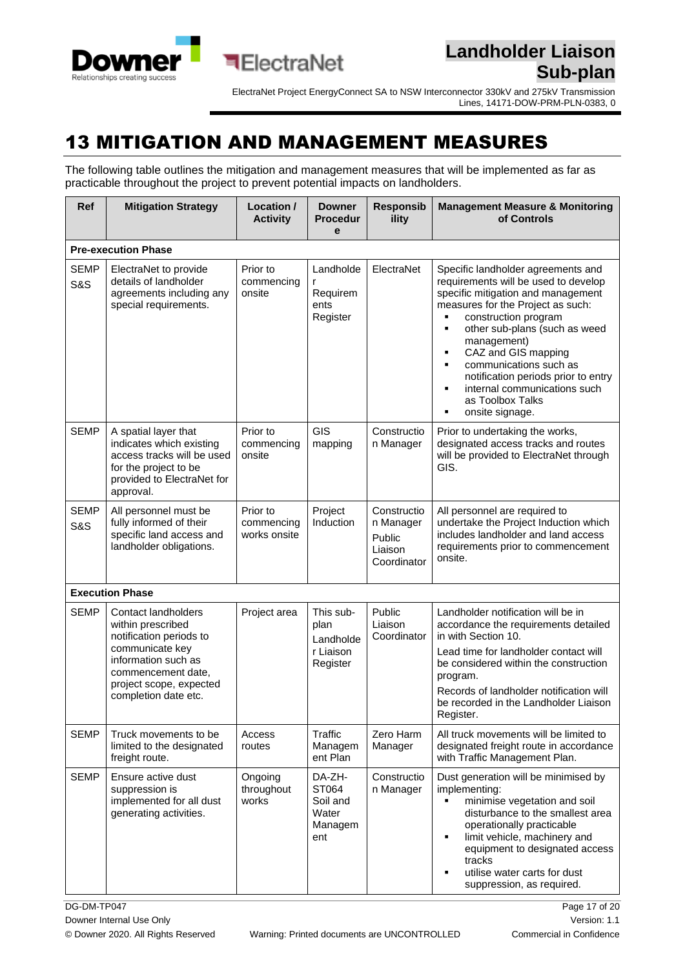

### <span id="page-16-0"></span>13 MITIGATION AND MANAGEMENT MEASURES

The following table outlines the mitigation and management measures that will be implemented as far as practicable throughout the project to prevent potential impacts on landholders.

| Ref                           | <b>Mitigation Strategy</b>                                                                                                                                                             | Location /<br><b>Activity</b>          | <b>Downer</b><br><b>Procedur</b><br>e                   | <b>Responsib</b><br>ility                                    | <b>Management Measure &amp; Monitoring</b><br>of Controls                                                                                                                                                                                                                                                                                                                                                                  |  |  |  |
|-------------------------------|----------------------------------------------------------------------------------------------------------------------------------------------------------------------------------------|----------------------------------------|---------------------------------------------------------|--------------------------------------------------------------|----------------------------------------------------------------------------------------------------------------------------------------------------------------------------------------------------------------------------------------------------------------------------------------------------------------------------------------------------------------------------------------------------------------------------|--|--|--|
|                               | <b>Pre-execution Phase</b>                                                                                                                                                             |                                        |                                                         |                                                              |                                                                                                                                                                                                                                                                                                                                                                                                                            |  |  |  |
| <b>SEMP</b><br><b>S&amp;S</b> | ElectraNet to provide<br>details of landholder<br>agreements including any<br>special requirements.                                                                                    | Prior to<br>commencing<br>onsite       | Landholde<br>r<br>Requirem<br>ents<br>Register          | ElectraNet                                                   | Specific landholder agreements and<br>requirements will be used to develop<br>specific mitigation and management<br>measures for the Project as such:<br>construction program<br>٠<br>other sub-plans (such as weed<br>٠<br>management)<br>CAZ and GIS mapping<br>٠<br>communications such as<br>٠<br>notification periods prior to entry<br>internal communications such<br>٠<br>as Toolbox Talks<br>onsite signage.<br>٠ |  |  |  |
| <b>SEMP</b>                   | A spatial layer that<br>indicates which existing<br>access tracks will be used<br>for the project to be<br>provided to ElectraNet for<br>approval.                                     | Prior to<br>commencing<br>onsite       | <b>GIS</b><br>mapping                                   | Constructio<br>n Manager                                     | Prior to undertaking the works,<br>designated access tracks and routes<br>will be provided to ElectraNet through<br>GIS.                                                                                                                                                                                                                                                                                                   |  |  |  |
| <b>SEMP</b><br><b>S&amp;S</b> | All personnel must be<br>fully informed of their<br>specific land access and<br>landholder obligations.                                                                                | Prior to<br>commencing<br>works onsite | Project<br>Induction                                    | Constructio<br>n Manager<br>Public<br>Liaison<br>Coordinator | All personnel are required to<br>undertake the Project Induction which<br>includes landholder and land access<br>requirements prior to commencement<br>onsite.                                                                                                                                                                                                                                                             |  |  |  |
|                               | <b>Execution Phase</b>                                                                                                                                                                 |                                        |                                                         |                                                              |                                                                                                                                                                                                                                                                                                                                                                                                                            |  |  |  |
| <b>SEMP</b>                   | Contact landholders<br>within prescribed<br>notification periods to<br>communicate key<br>information such as<br>commencement date,<br>project scope, expected<br>completion date etc. | Project area                           | This sub-<br>plan<br>Landholde<br>r Liaison<br>Register | Public<br>Liaison<br>Coordinator                             | Landholder notification will be in<br>accordance the requirements detailed<br>in with Section 10.<br>Lead time for landholder contact will<br>be considered within the construction<br>program.<br>Records of landholder notification will<br>be recorded in the Landholder Liaison<br>Register.                                                                                                                           |  |  |  |
| <b>SEMP</b>                   | Truck movements to be<br>limited to the designated<br>freight route.                                                                                                                   | Access<br>routes                       | Traffic<br>Managem<br>ent Plan                          | Zero Harm<br>Manager                                         | All truck movements will be limited to<br>designated freight route in accordance<br>with Traffic Management Plan.                                                                                                                                                                                                                                                                                                          |  |  |  |
| <b>SEMP</b>                   | Ensure active dust<br>suppression is<br>implemented for all dust<br>generating activities.                                                                                             | Ongoing<br>throughout<br>works         | DA-ZH-<br>ST064<br>Soil and<br>Water<br>Managem<br>ent  | Constructio<br>n Manager                                     | Dust generation will be minimised by<br>implementing:<br>minimise vegetation and soil<br>٠<br>disturbance to the smallest area<br>operationally practicable<br>limit vehicle, machinery and<br>٠<br>equipment to designated access<br>tracks<br>utilise water carts for dust<br>٠<br>suppression, as required.                                                                                                             |  |  |  |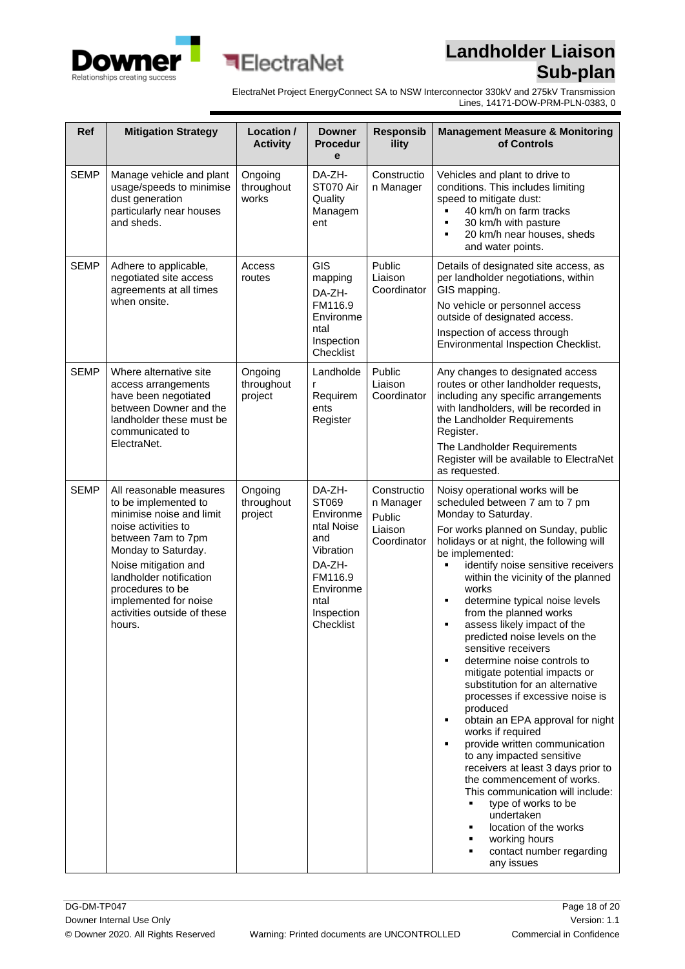



ElectraNet Project EnergyConnect SA to NSW Interconnector 330kV and 275kV Transmission Lines, 14171-DOW-PRM-PLN-0383, 0

| Ref         | <b>Mitigation Strategy</b>                                                                                                                                                                                                                                                               | Location /<br><b>Activity</b>    | <b>Downer</b><br><b>Procedur</b><br>e                                                                                               | <b>Responsib</b><br>ility                                    | <b>Management Measure &amp; Monitoring</b><br>of Controls                                                                                                                                                                                                                                                                                                                                                                                                                                                                                                                                                                                                                                                                                                                                                                                                                                                                                                                      |
|-------------|------------------------------------------------------------------------------------------------------------------------------------------------------------------------------------------------------------------------------------------------------------------------------------------|----------------------------------|-------------------------------------------------------------------------------------------------------------------------------------|--------------------------------------------------------------|--------------------------------------------------------------------------------------------------------------------------------------------------------------------------------------------------------------------------------------------------------------------------------------------------------------------------------------------------------------------------------------------------------------------------------------------------------------------------------------------------------------------------------------------------------------------------------------------------------------------------------------------------------------------------------------------------------------------------------------------------------------------------------------------------------------------------------------------------------------------------------------------------------------------------------------------------------------------------------|
| <b>SEMP</b> | Manage vehicle and plant<br>usage/speeds to minimise<br>dust generation<br>particularly near houses<br>and sheds.                                                                                                                                                                        | Ongoing<br>throughout<br>works   | DA-ZH-<br>ST070 Air<br>Quality<br>Managem<br>ent                                                                                    | Constructio<br>n Manager                                     | Vehicles and plant to drive to<br>conditions. This includes limiting<br>speed to mitigate dust:<br>40 km/h on farm tracks<br>30 km/h with pasture<br>20 km/h near houses, sheds<br>$\blacksquare$<br>and water points.                                                                                                                                                                                                                                                                                                                                                                                                                                                                                                                                                                                                                                                                                                                                                         |
| <b>SEMP</b> | Adhere to applicable,<br>negotiated site access<br>agreements at all times<br>when onsite.                                                                                                                                                                                               | Access<br>routes                 | GIS<br>mapping<br>DA-ZH-<br>FM116.9<br>Environme<br>ntal<br>Inspection<br>Checklist                                                 | Public<br>Liaison<br>Coordinator                             | Details of designated site access, as<br>per landholder negotiations, within<br>GIS mapping.<br>No vehicle or personnel access<br>outside of designated access.<br>Inspection of access through<br>Environmental Inspection Checklist.                                                                                                                                                                                                                                                                                                                                                                                                                                                                                                                                                                                                                                                                                                                                         |
| <b>SEMP</b> | Where alternative site<br>access arrangements<br>have been negotiated<br>between Downer and the<br>landholder these must be<br>communicated to<br>ElectraNet.                                                                                                                            | Ongoing<br>throughout<br>project | Landholde<br>r<br>Requirem<br>ents<br>Register                                                                                      | Public<br>Liaison<br>Coordinator                             | Any changes to designated access<br>routes or other landholder requests,<br>including any specific arrangements<br>with landholders, will be recorded in<br>the Landholder Requirements<br>Register.<br>The Landholder Requirements<br>Register will be available to ElectraNet<br>as requested.                                                                                                                                                                                                                                                                                                                                                                                                                                                                                                                                                                                                                                                                               |
| <b>SEMP</b> | All reasonable measures<br>to be implemented to<br>minimise noise and limit<br>noise activities to<br>between 7am to 7pm<br>Monday to Saturday.<br>Noise mitigation and<br>landholder notification<br>procedures to be<br>implemented for noise<br>activities outside of these<br>hours. | Ongoing<br>throughout<br>project | DA-ZH-<br>ST069<br>Environme<br>ntal Noise<br>and<br>Vibration<br>DA-ZH-<br>FM116.9<br>Environme<br>ntal<br>Inspection<br>Checklist | Constructio<br>n Manager<br>Public<br>Liaison<br>Coordinator | Noisy operational works will be<br>scheduled between 7 am to 7 pm<br>Monday to Saturday.<br>For works planned on Sunday, public<br>holidays or at night, the following will<br>be implemented:<br>٠<br>identify noise sensitive receivers<br>within the vicinity of the planned<br>works<br>determine typical noise levels<br>٠<br>from the planned works<br>assess likely impact of the<br>٠<br>predicted noise levels on the<br>sensitive receivers<br>determine noise controls to<br>٠<br>mitigate potential impacts or<br>substitution for an alternative<br>processes if excessive noise is<br>produced<br>obtain an EPA approval for night<br>٠<br>works if required<br>provide written communication<br>٠<br>to any impacted sensitive<br>receivers at least 3 days prior to<br>the commencement of works.<br>This communication will include:<br>type of works to be<br>undertaken<br>location of the works<br>working hours<br>contact number regarding<br>any issues |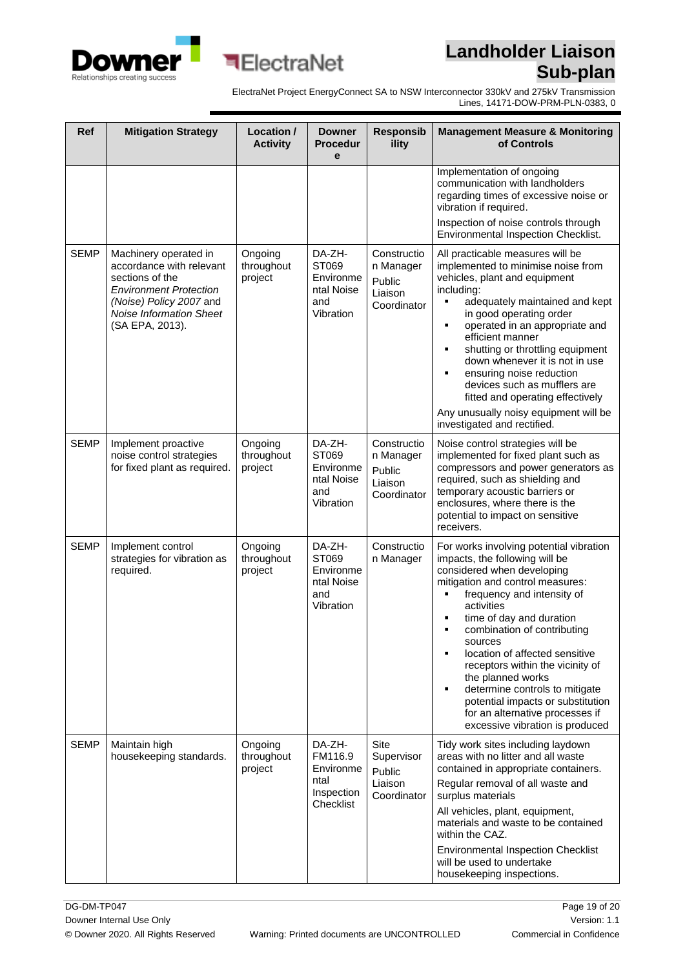



ElectraNet Project EnergyConnect SA to NSW Interconnector 330kV and 275kV Transmission Lines, 14171-DOW-PRM-PLN-0383, 0

| Ref         | <b>Mitigation Strategy</b>                                                                                                                                                            | Location /<br><b>Activity</b>    | <b>Downer</b><br><b>Procedur</b><br>e                             | <b>Responsib</b><br>ility                                     | <b>Management Measure &amp; Monitoring</b><br>of Controls                                                                                                                                                                                                                                                                                                                                                                                                                                                                         |
|-------------|---------------------------------------------------------------------------------------------------------------------------------------------------------------------------------------|----------------------------------|-------------------------------------------------------------------|---------------------------------------------------------------|-----------------------------------------------------------------------------------------------------------------------------------------------------------------------------------------------------------------------------------------------------------------------------------------------------------------------------------------------------------------------------------------------------------------------------------------------------------------------------------------------------------------------------------|
|             |                                                                                                                                                                                       |                                  |                                                                   |                                                               | Implementation of ongoing<br>communication with landholders<br>regarding times of excessive noise or<br>vibration if required.<br>Inspection of noise controls through<br>Environmental Inspection Checklist.                                                                                                                                                                                                                                                                                                                     |
| <b>SEMP</b> | Machinery operated in<br>accordance with relevant<br>sections of the<br><b>Environment Protection</b><br>(Noise) Policy 2007 and<br><b>Noise Information Sheet</b><br>(SA EPA, 2013). | Ongoing<br>throughout<br>project | DA-ZH-<br>ST069<br>Environme<br>ntal Noise<br>and<br>Vibration    | Constructio<br>n Manager<br>Public<br>Liaison<br>Coordinator  | All practicable measures will be<br>implemented to minimise noise from<br>vehicles, plant and equipment<br>including:<br>adequately maintained and kept<br>٠<br>in good operating order<br>operated in an appropriate and<br>٠<br>efficient manner<br>shutting or throttling equipment<br>٠<br>down whenever it is not in use<br>$\blacksquare$<br>ensuring noise reduction<br>devices such as mufflers are<br>fitted and operating effectively<br>Any unusually noisy equipment will be<br>investigated and rectified.           |
| <b>SEMP</b> | Implement proactive<br>noise control strategies<br>for fixed plant as required.                                                                                                       | Ongoing<br>throughout<br>project | DA-ZH-<br>ST069<br>Environme<br>ntal Noise<br>and<br>Vibration    | Constructio<br>n Manager<br>Public<br>Liaison<br>Coordinator  | Noise control strategies will be<br>implemented for fixed plant such as<br>compressors and power generators as<br>required, such as shielding and<br>temporary acoustic barriers or<br>enclosures, where there is the<br>potential to impact on sensitive<br>receivers.                                                                                                                                                                                                                                                           |
| <b>SEMP</b> | Implement control<br>strategies for vibration as<br>required.                                                                                                                         | Ongoing<br>throughout<br>project | DA-ZH-<br>ST069<br>Environme<br>ntal Noise<br>and<br>Vibration    | Constructio<br>n Manager                                      | For works involving potential vibration<br>impacts, the following will be<br>considered when developing<br>mitigation and control measures:<br>frequency and intensity of<br>activities<br>time of day and duration<br>П<br>combination of contributing<br>sources<br>location of affected sensitive<br>٠<br>receptors within the vicinity of<br>the planned works<br>determine controls to mitigate<br>$\blacksquare$<br>potential impacts or substitution<br>for an alternative processes if<br>excessive vibration is produced |
| <b>SEMP</b> | Maintain high<br>housekeeping standards.                                                                                                                                              | Ongoing<br>throughout<br>project | DA-ZH-<br>FM116.9<br>Environme<br>ntal<br>Inspection<br>Checklist | <b>Site</b><br>Supervisor<br>Public<br>Liaison<br>Coordinator | Tidy work sites including laydown<br>areas with no litter and all waste<br>contained in appropriate containers.<br>Regular removal of all waste and<br>surplus materials<br>All vehicles, plant, equipment,<br>materials and waste to be contained<br>within the CAZ.<br><b>Environmental Inspection Checklist</b><br>will be used to undertake<br>housekeeping inspections.                                                                                                                                                      |